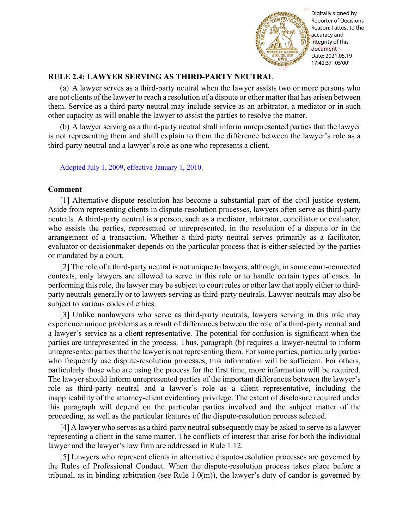

Reporter of Decisions Reason: I attest to the accuracy and integrity of this document Date: 2021.05.19 17:42:37 -05'00'

## **RULE 2.4: LAWYER SERVING AS THIRD-PARTY NEUTRAL**

(a) A lawyer serves as a third-party neutral when the lawyer assists two or more persons who are not clients of the lawyer to reach a resolution of a dispute or other matter that has arisen between them. Service as a third-party neutral may include service as an arbitrator, a mediator or in such other capacity as will enable the lawyer to assist the parties to resolve the matter.

(b) A lawyer serving as a third-party neutral shall inform unrepresented parties that the lawyer is not representing them and shall explain to them the difference between the lawyer's role as a third-party neutral and a lawyer's role as one who represents a client.

[Adopted July 1, 2009, effective January 1, 2010.](http://www.illinoiscourts.gov/files/070109.pdf/amendment)

## **Comment**

[1] Alternative dispute resolution has become a substantial part of the civil justice system. Aside from representing clients in dispute-resolution processes, lawyers often serve as third-party neutrals. A third-party neutral is a person, such as a mediator, arbitrator, conciliator or evaluator, who assists the parties, represented or unrepresented, in the resolution of a dispute or in the arrangement of a transaction. Whether a third-party neutral serves primarily as a facilitator, evaluator or decisionmaker depends on the particular process that is either selected by the parties or mandated by a court.

[2] The role of a third-party neutral is not unique to lawyers, although, in some court-connected contexts, only lawyers are allowed to serve in this role or to handle certain types of cases. In performing this role, the lawyer may be subject to court rules or other law that apply either to thirdparty neutrals generally or to lawyers serving as third-party neutrals. Lawyer-neutrals may also be subject to various codes of ethics.

[3] Unlike nonlawyers who serve as third-party neutrals, lawyers serving in this role may experience unique problems as a result of differences between the role of a third-party neutral and a lawyer's service as a client representative. The potential for confusion is significant when the parties are unrepresented in the process. Thus, paragraph (b) requires a lawyer-neutral to inform unrepresented parties that the lawyer is not representing them. For some parties, particularly parties who frequently use dispute-resolution processes, this information will be sufficient. For others, particularly those who are using the process for the first time, more information will be required. The lawyer should inform unrepresented parties of the important differences between the lawyer's role as third-party neutral and a lawyer's role as a client representative, including the inapplicability of the attorney-client evidentiary privilege. The extent of disclosure required under this paragraph will depend on the particular parties involved and the subject matter of the proceeding, as well as the particular features of the dispute-resolution process selected. The binding arbitration of the interest of the matrix of the matrix of the matrix of the matrix of the matrix of the matrix of the matrix of the matrix of the matrix of the matrix of the matrix of the matrix of the lawyer

[4] A lawyer who serves as a third-party neutral subsequently may be asked to serve as a lawyer representing a client in the same matter. The conflicts of interest that arise for both the individual lawyer and the lawyer's law firm are addressed in Rule 1.12.

[5] Lawyers who represent clients in alternative dispute-resolution processes are governed by the Rules of Professional Conduct. When the dispute-resolution process takes place before a